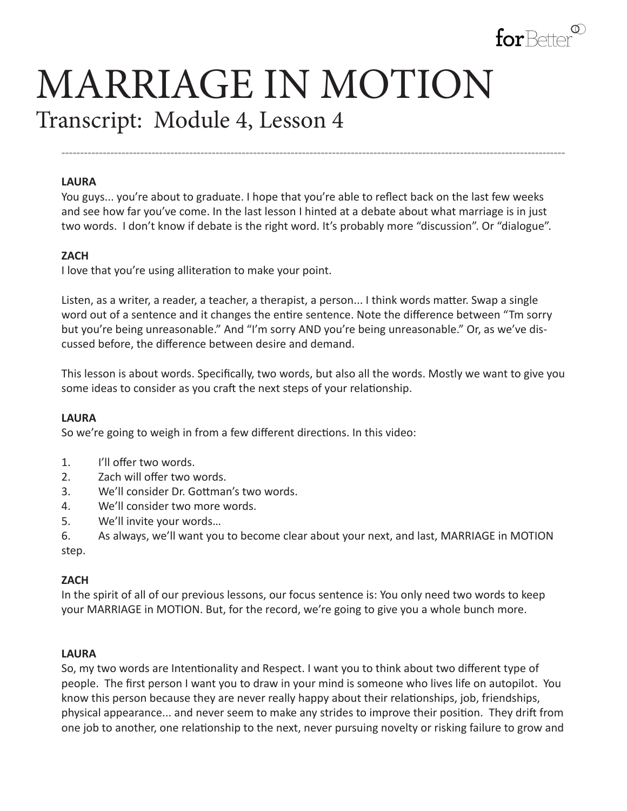

# MARRIAGE IN MOTION Transcript: Module 4, Lesson 4

#### **LAURA**

You guys... you're about to graduate. I hope that you're able to reflect back on the last few weeks and see how far you've come. In the last lesson I hinted at a debate about what marriage is in just two words. I don't know if debate is the right word. It's probably more "discussion". Or "dialogue".

**--------------------------------------------------------------------------------------------------------------------------------------**

#### **ZACH**

I love that you're using alliteration to make your point.

Listen, as a writer, a reader, a teacher, a therapist, a person... I think words matter. Swap a single word out of a sentence and it changes the entire sentence. Note the difference between "Tm sorry but you're being unreasonable." And "I'm sorry AND you're being unreasonable." Or, as we've discussed before, the difference between desire and demand.

This lesson is about words. Specifically, two words, but also all the words. Mostly we want to give you some ideas to consider as you craft the next steps of your relationship.

#### **LAURA**

So we're going to weigh in from a few different directions. In this video:

- 1. I'll offer two words.
- 2. Zach will offer two words.
- 3. We'll consider Dr. Gottman's two words.
- 4. We'll consider two more words.
- 5. We'll invite your words…
- 6. As always, we'll want you to become clear about your next, and last, MARRIAGE in MOTION step.

#### **ZACH**

In the spirit of all of our previous lessons, our focus sentence is: You only need two words to keep your MARRIAGE in MOTION. But, for the record, we're going to give you a whole bunch more.

#### **LAURA**

So, my two words are Intentionality and Respect. I want you to think about two different type of people. The first person I want you to draw in your mind is someone who lives life on autopilot. You know this person because they are never really happy about their relationships, job, friendships, physical appearance... and never seem to make any strides to improve their position. They drift from one job to another, one relationship to the next, never pursuing novelty or risking failure to grow and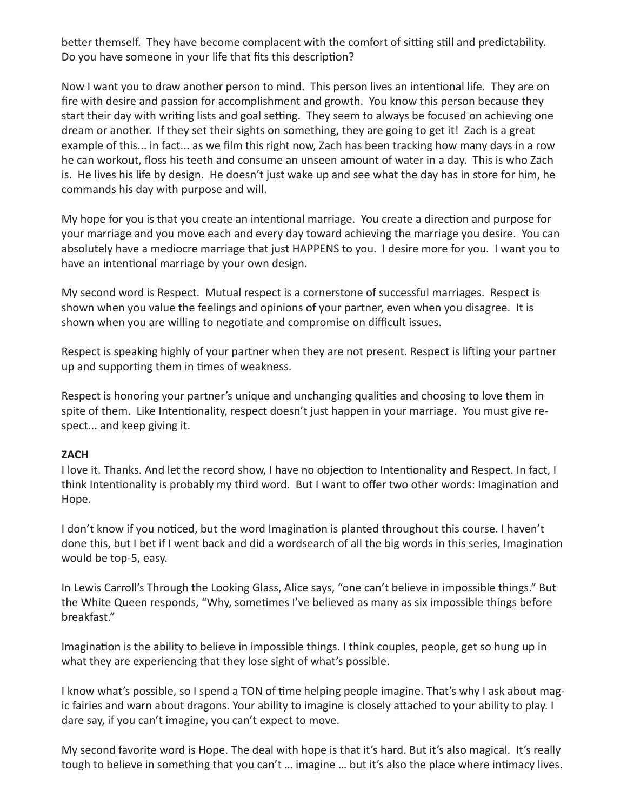better themself. They have become complacent with the comfort of sitting still and predictability. Do you have someone in your life that fits this description?

Now I want you to draw another person to mind. This person lives an intentional life. They are on fire with desire and passion for accomplishment and growth. You know this person because they start their day with writing lists and goal setting. They seem to always be focused on achieving one dream or another. If they set their sights on something, they are going to get it! Zach is a great example of this... in fact... as we film this right now, Zach has been tracking how many days in a row he can workout, floss his teeth and consume an unseen amount of water in a day. This is who Zach is. He lives his life by design. He doesn't just wake up and see what the day has in store for him, he commands his day with purpose and will.

My hope for you is that you create an intentional marriage. You create a direction and purpose for your marriage and you move each and every day toward achieving the marriage you desire. You can absolutely have a mediocre marriage that just HAPPENS to you. I desire more for you. I want you to have an intentional marriage by your own design.

My second word is Respect. Mutual respect is a cornerstone of successful marriages. Respect is shown when you value the feelings and opinions of your partner, even when you disagree. It is shown when you are willing to negotiate and compromise on difficult issues.

Respect is speaking highly of your partner when they are not present. Respect is lifting your partner up and supporting them in times of weakness.

Respect is honoring your partner's unique and unchanging qualities and choosing to love them in spite of them. Like Intentionality, respect doesn't just happen in your marriage. You must give respect... and keep giving it.

#### **ZACH**

I love it. Thanks. And let the record show, I have no objection to Intentionality and Respect. In fact, I think Intentionality is probably my third word. But I want to offer two other words: Imagination and Hope.

I don't know if you noticed, but the word Imagination is planted throughout this course. I haven't done this, but I bet if I went back and did a wordsearch of all the big words in this series, Imagination would be top-5, easy.

In Lewis Carroll's Through the Looking Glass, Alice says, "one can't believe in impossible things." But the White Queen responds, "Why, sometimes I've believed as many as six impossible things before breakfast."

Imagination is the ability to believe in impossible things. I think couples, people, get so hung up in what they are experiencing that they lose sight of what's possible.

I know what's possible, so I spend a TON of time helping people imagine. That's why I ask about magic fairies and warn about dragons. Your ability to imagine is closely attached to your ability to play. I dare say, if you can't imagine, you can't expect to move.

My second favorite word is Hope. The deal with hope is that it's hard. But it's also magical. It's really tough to believe in something that you can't … imagine … but it's also the place where intimacy lives.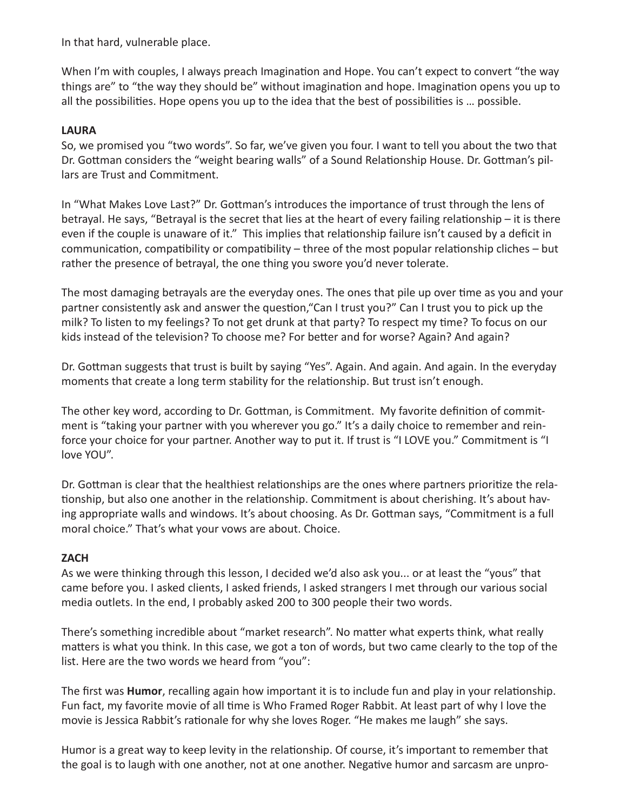In that hard, vulnerable place.

When I'm with couples, I always preach Imagination and Hope. You can't expect to convert "the way things are" to "the way they should be" without imagination and hope. Imagination opens you up to all the possibilities. Hope opens you up to the idea that the best of possibilities is … possible.

#### **LAURA**

So, we promised you "two words". So far, we've given you four. I want to tell you about the two that Dr. Gottman considers the "weight bearing walls" of a Sound Relationship House. Dr. Gottman's pillars are Trust and Commitment.

In "What Makes Love Last?" Dr. Gottman's introduces the importance of trust through the lens of betrayal. He says, "Betrayal is the secret that lies at the heart of every failing relationship – it is there even if the couple is unaware of it." This implies that relationship failure isn't caused by a deficit in communication, compatibility or compatibility – three of the most popular relationship cliches – but rather the presence of betrayal, the one thing you swore you'd never tolerate.

The most damaging betrayals are the everyday ones. The ones that pile up over time as you and your partner consistently ask and answer the question,"Can I trust you?" Can I trust you to pick up the milk? To listen to my feelings? To not get drunk at that party? To respect my time? To focus on our kids instead of the television? To choose me? For better and for worse? Again? And again?

Dr. Gottman suggests that trust is built by saying "Yes". Again. And again. And again. In the everyday moments that create a long term stability for the relationship. But trust isn't enough.

The other key word, according to Dr. Gottman, is Commitment. My favorite definition of commitment is "taking your partner with you wherever you go." It's a daily choice to remember and reinforce your choice for your partner. Another way to put it. If trust is "I LOVE you." Commitment is "I love YOU".

Dr. Gottman is clear that the healthiest relationships are the ones where partners prioritize the relationship, but also one another in the relationship. Commitment is about cherishing. It's about having appropriate walls and windows. It's about choosing. As Dr. Gottman says, "Commitment is a full moral choice." That's what your vows are about. Choice.

# **ZACH**

As we were thinking through this lesson, I decided we'd also ask you... or at least the "yous" that came before you. I asked clients, I asked friends, I asked strangers I met through our various social media outlets. In the end, I probably asked 200 to 300 people their two words.

There's something incredible about "market research". No matter what experts think, what really matters is what you think. In this case, we got a ton of words, but two came clearly to the top of the list. Here are the two words we heard from "you":

The first was **Humor**, recalling again how important it is to include fun and play in your relationship. Fun fact, my favorite movie of all time is Who Framed Roger Rabbit. At least part of why I love the movie is Jessica Rabbit's rationale for why she loves Roger. "He makes me laugh" she says.

Humor is a great way to keep levity in the relationship. Of course, it's important to remember that the goal is to laugh with one another, not at one another. Negative humor and sarcasm are unpro